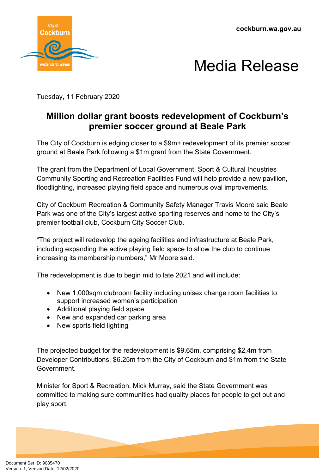



Tuesday, 11 February 2020

## **Million dollar grant boosts redevelopment of Cockburn's premier soccer ground at Beale Park**

The City of Cockburn is edging closer to a \$9m+ redevelopment of its premier soccer ground at Beale Park following a \$1m grant from the State Government.

The grant from the Department of Local Government, Sport & Cultural Industries Community Sporting and Recreation Facilities Fund will help provide a new pavilion, floodlighting, increased playing field space and numerous oval improvements.

City of Cockburn Recreation & Community Safety Manager Travis Moore said Beale Park was one of the City's largest active sporting reserves and home to the City's premier football club, Cockburn City Soccer Club.

"The project will redevelop the ageing facilities and infrastructure at Beale Park, including expanding the active playing field space to allow the club to continue increasing its membership numbers," Mr Moore said.

The redevelopment is due to begin mid to late 2021 and will include:

- New 1,000sqm clubroom facility including unisex change room facilities to support increased women's participation
- Additional playing field space
- New and expanded car parking area
- New sports field lighting

The projected budget for the redevelopment is \$9.65m, comprising \$2.4m from Developer Contributions, \$6.25m from the City of Cockburn and \$1m from the State Government.

Minister for Sport & Recreation, Mick Murray, said the State Government was committed to making sure communities had quality places for people to get out and play sport.